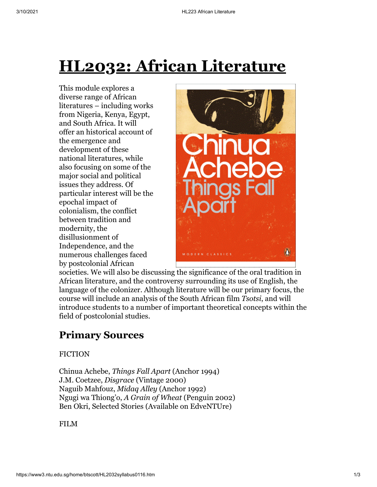# **HL2032: African Literature**

This module explores a diverse range of African literatures – including works from Nigeria, Kenya, Egypt, and South Africa. It will offer an historical account of the emergence and development of these national literatures, while also focusing on some of the major social and political issues they address. Of particular interest will be the epochal impact of colonialism, the conflict between tradition and modernity, the disillusionment of Independence, and the numerous challenges faced by postcolonial African



societies. We will also be discussing the significance of the oral tradition in African literature, and the controversy surrounding its use of English, the language of the colonizer. Although literature will be our primary focus, the course will include an analysis of the South African film *Tsotsi*, and will introduce students to a number of important theoretical concepts within the field of postcolonial studies.

## **Primary Sources**

#### FICTION

Chinua Achebe, *Things Fall Apart* (Anchor 1994) J.M. Coetzee, *Disgrace* (Vintage 2000) Naguib Mahfouz, *Midaq Alley* (Anchor 1992) Ngugi wa Thiong'o, *A Grain of Wheat* (Penguin 2002) Ben Okri, Selected Stories (Available on EdveNTUre)

FILM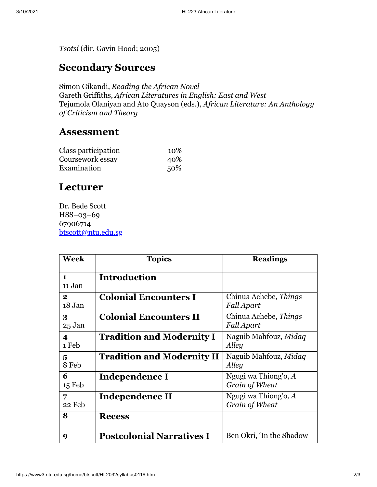*Tsotsi* (dir. Gavin Hood; 2005)

### **Secondary Sources**

Simon Gikandi, *Reading the African Novel* Gareth Griffiths, *African Literatures in English: East and West* Tejumola Olaniyan and Ato Quayson (eds.), *African Literature: An Anthology of Criticism and Theory*

#### **Assessment**

| Class participation | 10% |
|---------------------|-----|
| Coursework essay    | 40% |
| Examination         | 50% |

### **Lecturer**

Dr. Bede Scott HSS–03–69 67906714 [btscott@ntu.edu.sg](mailto:btscott@ntu.edu.sg)

| Week                     | <b>Topics</b>                     | <b>Readings</b>                          |
|--------------------------|-----------------------------------|------------------------------------------|
| $\blacksquare$<br>11 Jan | <b>Introduction</b>               |                                          |
| $\mathbf{2}$<br>18 Jan   | <b>Colonial Encounters I</b>      | Chinua Achebe, Things<br>Fall Apart      |
| 3<br>25 Jan              | <b>Colonial Encounters II</b>     | Chinua Achebe, Things<br>Fall Apart      |
| 4<br>1 Feb               | <b>Tradition and Modernity I</b>  | Naguib Mahfouz, Midaq<br>Alley           |
| 5<br>8 Feb               | <b>Tradition and Modernity II</b> | Naguib Mahfouz, Midaq<br>Alley           |
| 6<br>$15 \text{ Feb}$    | Independence I                    | Ngugi wa Thiong'o, A<br>Grain of Wheat   |
| 7<br>22 Feb              | Independence II                   | Ngugi wa Thiong'o, $A$<br>Grain of Wheat |
| 8                        | <b>Recess</b>                     |                                          |
| 9                        | <b>Postcolonial Narratives I</b>  | Ben Okri, 'In the Shadow                 |